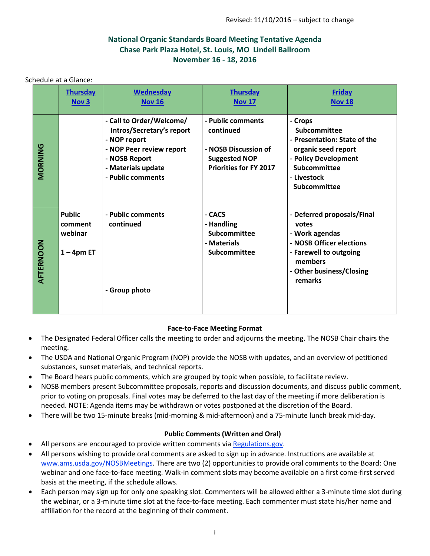## **National Organic Standards Board Meeting Tentative Agenda Chase Park Plaza Hotel, St. Louis, MO Lindell Ballroom November 16 - 18, 2016**

| Schedule at a Glance: |                                                      |                                                                                                                                                               |                                                                                                                 |                                                                                                                                                               |
|-----------------------|------------------------------------------------------|---------------------------------------------------------------------------------------------------------------------------------------------------------------|-----------------------------------------------------------------------------------------------------------------|---------------------------------------------------------------------------------------------------------------------------------------------------------------|
|                       | <b>Thursday</b><br>Nov <sub>3</sub>                  | <b>Wednesday</b><br><b>Nov 16</b>                                                                                                                             | <b>Thursday</b><br><b>Nov 17</b>                                                                                | <b>Friday</b><br><b>Nov 18</b>                                                                                                                                |
| <b>MORNING</b>        |                                                      | - Call to Order/Welcome/<br>Intros/Secretary's report<br>- NOP report<br>- NOP Peer review report<br>- NOSB Report<br>- Materials update<br>- Public comments | - Public comments<br>continued<br>- NOSB Discussion of<br><b>Suggested NOP</b><br><b>Priorities for FY 2017</b> | - Crops<br>Subcommittee<br>- Presentation: State of the<br>organic seed report<br>- Policy Development<br>Subcommittee<br>- Livestock<br>Subcommittee         |
| AFTERNOON             | <b>Public</b><br>comment<br>webinar<br>$1 - 4$ pm ET | - Public comments<br>continued<br>- Group photo                                                                                                               | - CACS<br>- Handling<br>Subcommittee<br>- Materials<br>Subcommittee                                             | - Deferred proposals/Final<br>votes<br>- Work agendas<br>- NOSB Officer elections<br>- Farewell to outgoing<br>members<br>- Other business/Closing<br>remarks |

## **Face-to-Face Meeting Format**

- The Designated Federal Officer calls the meeting to order and adjourns the meeting. The NOSB Chair chairs the meeting.
- The USDA and National Organic Program (NOP) provide the NOSB with updates, and an overview of petitioned substances, sunset materials, and technical reports.
- The Board hears public comments, which are grouped by topic when possible, to facilitate review.
- NOSB members present Subcommittee proposals, reports and discussion documents, and discuss public comment, prior to voting on proposals. Final votes may be deferred to the last day of the meeting if more deliberation is needed. NOTE: Agenda items may be withdrawn or votes postponed at the discretion of the Board.
- There will be two 15-minute breaks (mid-morning & mid-afternoon) and a 75-minute lunch break mid-day.

## **Public Comments (Written and Oral)**

- All persons are encouraged to provide written comments vi[a Regulations.gov.](http://www.regulations.gov/#!home)
- All persons wishing to provide oral comments are asked to sign up in advance. Instructions are available at [www.ams.usda.gov/NOSBMeetings.](http://www.ams.usda.gov/NOSBMeetings) There are two (2) opportunities to provide oral comments to the Board: One webinar and one face-to-face meeting. Walk-in comment slots may become available on a first come-first served basis at the meeting, if the schedule allows.
- Each person may sign up for only one speaking slot. Commenters will be allowed either a 3-minute time slot during the webinar, or a 3-minute time slot at the face-to-face meeting. Each commenter must state his/her name and affiliation for the record at the beginning of their comment.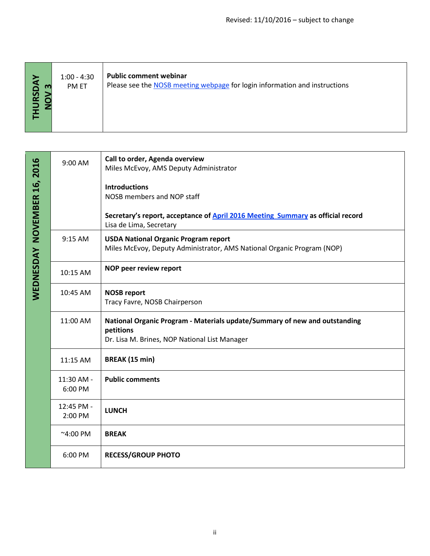<span id="page-1-0"></span>

| m<br>Δ<br>$\overline{S}$ | $1:00 - 4:30$<br>PM ET | <b>Public comment webinar</b><br>Please see the NOSB meeting webpage for login information and instructions |
|--------------------------|------------------------|-------------------------------------------------------------------------------------------------------------|
|--------------------------|------------------------|-------------------------------------------------------------------------------------------------------------|

<span id="page-1-1"></span>

|                             | 9:00 AM               | Call to order, Agenda overview<br>Miles McEvoy, AMS Deputy Administrator                                                                 |
|-----------------------------|-----------------------|------------------------------------------------------------------------------------------------------------------------------------------|
|                             |                       | <b>Introductions</b><br>NOSB members and NOP staff                                                                                       |
|                             |                       | Secretary's report, acceptance of April 2016 Meeting Summary as official record<br>Lisa de Lima, Secretary                               |
| WEDNESDAY NOVEMBER 16, 2016 | 9:15 AM               | <b>USDA National Organic Program report</b><br>Miles McEvoy, Deputy Administrator, AMS National Organic Program (NOP)                    |
|                             | 10:15 AM              | NOP peer review report                                                                                                                   |
|                             | 10:45 AM              | <b>NOSB report</b><br>Tracy Favre, NOSB Chairperson                                                                                      |
|                             | 11:00 AM              | National Organic Program - Materials update/Summary of new and outstanding<br>petitions<br>Dr. Lisa M. Brines, NOP National List Manager |
|                             | 11:15 AM              | <b>BREAK (15 min)</b>                                                                                                                    |
|                             | 11:30 AM -<br>6:00 PM | <b>Public comments</b>                                                                                                                   |
|                             | 12:45 PM -<br>2:00 PM | <b>LUNCH</b>                                                                                                                             |
|                             | $~^{\sim}$ 4:00 PM    | <b>BREAK</b>                                                                                                                             |
|                             | 6:00 PM               | <b>RECESS/GROUP PHOTO</b>                                                                                                                |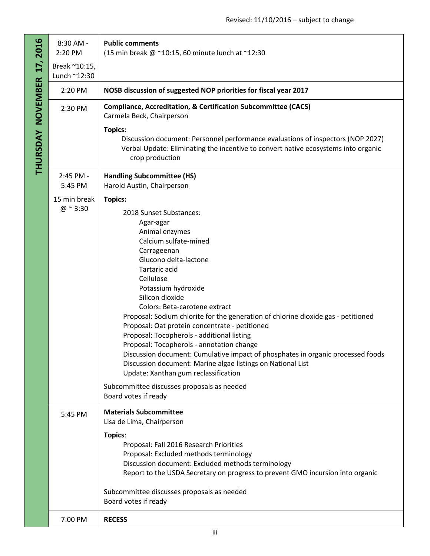<span id="page-2-0"></span>

|                                  | 8:30 AM -<br>2:20 PM          | <b>Public comments</b><br>(15 min break @ ~10:15, 60 minute lunch at ~12:30                                                                                                                                                                                                                                                                                                                                                                                                                                                                                                                                                                                  |
|----------------------------------|-------------------------------|--------------------------------------------------------------------------------------------------------------------------------------------------------------------------------------------------------------------------------------------------------------------------------------------------------------------------------------------------------------------------------------------------------------------------------------------------------------------------------------------------------------------------------------------------------------------------------------------------------------------------------------------------------------|
| <b>THURSDAY NOVEMBER 17,2016</b> | Break ~10:15,<br>Lunch ~12:30 |                                                                                                                                                                                                                                                                                                                                                                                                                                                                                                                                                                                                                                                              |
|                                  | 2:20 PM                       | NOSB discussion of suggested NOP priorities for fiscal year 2017                                                                                                                                                                                                                                                                                                                                                                                                                                                                                                                                                                                             |
|                                  | 2:30 PM                       | <b>Compliance, Accreditation, &amp; Certification Subcommittee (CACS)</b><br>Carmela Beck, Chairperson                                                                                                                                                                                                                                                                                                                                                                                                                                                                                                                                                       |
|                                  |                               | <b>Topics:</b><br>Discussion document: Personnel performance evaluations of inspectors (NOP 2027)<br>Verbal Update: Eliminating the incentive to convert native ecosystems into organic<br>crop production                                                                                                                                                                                                                                                                                                                                                                                                                                                   |
|                                  | 2:45 PM -<br>5:45 PM          | <b>Handling Subcommittee (HS)</b><br>Harold Austin, Chairperson                                                                                                                                                                                                                                                                                                                                                                                                                                                                                                                                                                                              |
|                                  | 15 min break                  | <b>Topics:</b>                                                                                                                                                                                                                                                                                                                                                                                                                                                                                                                                                                                                                                               |
|                                  | $@ \sim 3:30$                 | 2018 Sunset Substances:<br>Agar-agar<br>Animal enzymes<br>Calcium sulfate-mined<br>Carrageenan<br>Glucono delta-lactone<br>Tartaric acid<br>Cellulose<br>Potassium hydroxide<br>Silicon dioxide<br>Colors: Beta-carotene extract<br>Proposal: Sodium chlorite for the generation of chlorine dioxide gas - petitioned<br>Proposal: Oat protein concentrate - petitioned<br>Proposal: Tocopherols - additional listing<br>Proposal: Tocopherols - annotation change<br>Discussion document: Cumulative impact of phosphates in organic processed foods<br>Discussion document: Marine algae listings on National List<br>Update: Xanthan gum reclassification |
|                                  |                               | Subcommittee discusses proposals as needed<br>Board votes if ready                                                                                                                                                                                                                                                                                                                                                                                                                                                                                                                                                                                           |
|                                  | 5:45 PM                       | <b>Materials Subcommittee</b><br>Lisa de Lima, Chairperson                                                                                                                                                                                                                                                                                                                                                                                                                                                                                                                                                                                                   |
|                                  |                               | Topics:<br>Proposal: Fall 2016 Research Priorities<br>Proposal: Excluded methods terminology<br>Discussion document: Excluded methods terminology<br>Report to the USDA Secretary on progress to prevent GMO incursion into organic<br>Subcommittee discusses proposals as needed                                                                                                                                                                                                                                                                                                                                                                            |
|                                  |                               | Board votes if ready                                                                                                                                                                                                                                                                                                                                                                                                                                                                                                                                                                                                                                         |
|                                  | 7:00 PM                       | <b>RECESS</b>                                                                                                                                                                                                                                                                                                                                                                                                                                                                                                                                                                                                                                                |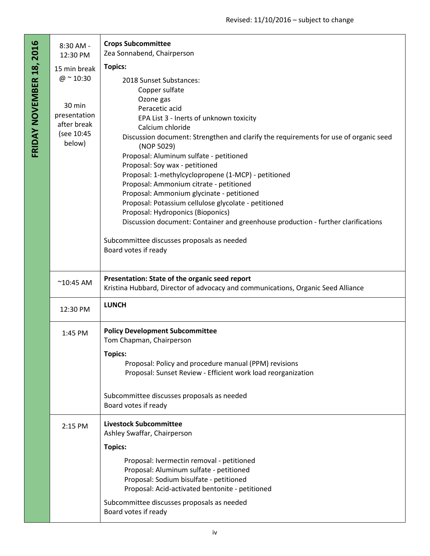<span id="page-3-0"></span>

| 8:30 AM -<br>12:30 PM                                                        | <b>Crops Subcommittee</b><br>Zea Sonnabend, Chairperson                                                                                                                                                                                                                                                                                                                                                                                                                                                                                                                                                                                                                                                                           |
|------------------------------------------------------------------------------|-----------------------------------------------------------------------------------------------------------------------------------------------------------------------------------------------------------------------------------------------------------------------------------------------------------------------------------------------------------------------------------------------------------------------------------------------------------------------------------------------------------------------------------------------------------------------------------------------------------------------------------------------------------------------------------------------------------------------------------|
| 15 min break                                                                 | <b>Topics:</b>                                                                                                                                                                                                                                                                                                                                                                                                                                                                                                                                                                                                                                                                                                                    |
| $@$ ~ 10:30<br>30 min<br>presentation<br>after break<br>(see 10:45<br>below) | 2018 Sunset Substances:<br>Copper sulfate<br>Ozone gas<br>Peracetic acid<br>EPA List 3 - Inerts of unknown toxicity<br>Calcium chloride<br>Discussion document: Strengthen and clarify the requirements for use of organic seed<br>(NOP 5029)<br>Proposal: Aluminum sulfate - petitioned<br>Proposal: Soy wax - petitioned<br>Proposal: 1-methylcyclopropene (1-MCP) - petitioned<br>Proposal: Ammonium citrate - petitioned<br>Proposal: Ammonium glycinate - petitioned<br>Proposal: Potassium cellulose glycolate - petitioned<br>Proposal: Hydroponics (Bioponics)<br>Discussion document: Container and greenhouse production - further clarifications<br>Subcommittee discusses proposals as needed<br>Board votes if ready |
|                                                                              |                                                                                                                                                                                                                                                                                                                                                                                                                                                                                                                                                                                                                                                                                                                                   |
| $^{\sim}10:45$ AM                                                            | Presentation: State of the organic seed report<br>Kristina Hubbard, Director of advocacy and communications, Organic Seed Alliance                                                                                                                                                                                                                                                                                                                                                                                                                                                                                                                                                                                                |
| 12:30 PM                                                                     | <b>LUNCH</b>                                                                                                                                                                                                                                                                                                                                                                                                                                                                                                                                                                                                                                                                                                                      |
| 1:45 PM                                                                      | <b>Policy Development Subcommittee</b><br>Tom Chapman, Chairperson                                                                                                                                                                                                                                                                                                                                                                                                                                                                                                                                                                                                                                                                |
|                                                                              | <b>Topics:</b><br>Proposal: Policy and procedure manual (PPM) revisions<br>Proposal: Sunset Review - Efficient work load reorganization<br>Subcommittee discusses proposals as needed<br>Board votes if ready                                                                                                                                                                                                                                                                                                                                                                                                                                                                                                                     |
| 2:15 PM                                                                      | <b>Livestock Subcommittee</b><br>Ashley Swaffar, Chairperson<br><b>Topics:</b>                                                                                                                                                                                                                                                                                                                                                                                                                                                                                                                                                                                                                                                    |
|                                                                              | Proposal: Ivermectin removal - petitioned<br>Proposal: Aluminum sulfate - petitioned<br>Proposal: Sodium bisulfate - petitioned<br>Proposal: Acid-activated bentonite - petitioned                                                                                                                                                                                                                                                                                                                                                                                                                                                                                                                                                |
|                                                                              | Subcommittee discusses proposals as needed<br>Board votes if ready                                                                                                                                                                                                                                                                                                                                                                                                                                                                                                                                                                                                                                                                |